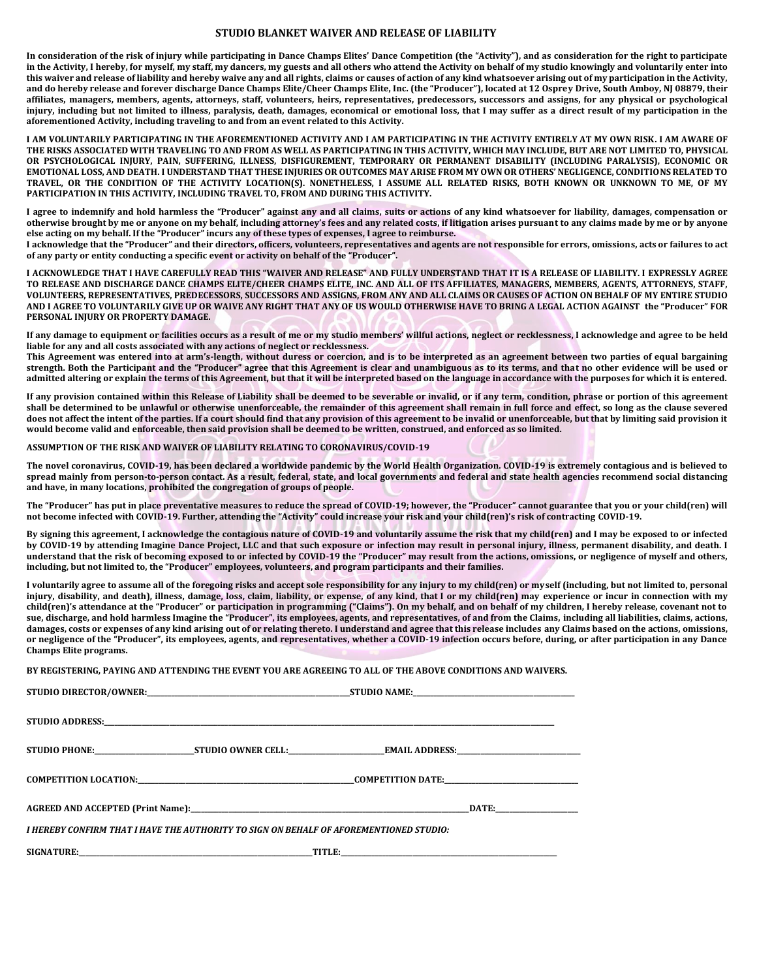## **STUDIO BLANKET WAIVER AND RELEASE OF LIABILITY**

**In consideration of the risk of injury while participating in Dance Champs Elites' Dance Competition (the "Activity"), and as consideration for the right to participate in the Activity, I hereby, for myself, my staff, my dancers, my guests and all others who attend the Activity on behalf of my studio knowingly and voluntarily enter into this waiver and release of liability and hereby waive any and all rights, claims or causes of action of any kind whatsoever arising out of my participation in the Activity, and do hereby release and forever discharge Dance Champs Elite/Cheer Champs Elite, Inc. (the "Producer"), located at 12 Osprey Drive, South Amboy, NJ 08879, their affiliates, managers, members, agents, attorneys, staff, volunteers, heirs, representatives, predecessors, successors and assigns, for any physical or psychological injury, including but not limited to illness, paralysis, death, damages, economical or emotional loss, that I may suffer as a direct result of my participation in the aforementioned Activity, including traveling to and from an event related to this Activity.**

**I AM VOLUNTARILY PARTICIPATING IN THE AFOREMENTIONED ACTIVITY AND I AM PARTICIPATING IN THE ACTIVITY ENTIRELY AT MY OWN RISK. I AM AWARE OF THE RISKS ASSOCIATED WITH TRAVELING TO AND FROM AS WELL AS PARTICIPATING IN THIS ACTIVITY, WHICH MAY INCLUDE, BUT ARE NOT LIMITED TO, PHYSICAL OR PSYCHOLOGICAL INJURY, PAIN, SUFFERING, ILLNESS, DISFIGUREMENT, TEMPORARY OR PERMANENT DISABILITY (INCLUDING PARALYSIS), ECONOMIC OR EMOTIONAL LOSS, AND DEATH. I UNDERSTAND THAT THESE INJURIES OR OUTCOMES MAY ARISE FROM MY OWN OR OTHERS' NEGLIGENCE, CONDITIONS RELATED TO TRAVEL, OR THE CONDITION OF THE ACTIVITY LOCATION(S). NONETHELESS, I ASSUME ALL RELATED RISKS, BOTH KNOWN OR UNKNOWN TO ME, OF MY PARTICIPATION IN THIS ACTIVITY, INCLUDING TRAVEL TO, FROM AND DURING THIS ACTIVITY.**

**I agree to indemnify and hold harmless the "Producer" against any and all claims, suits or actions of any kind whatsoever for liability, damages, compensation or otherwise brought by me or anyone on my behalf, including attorney's fees and any related costs, if litigation arises pursuant to any claims made by me or by anyone else acting on my behalf. If the "Producer" incurs any of these types of expenses, I agree to reimburse.**

**I acknowledge that the "Producer" and their directors, officers, volunteers, representatives and agents are not responsible for errors, omissions, acts or failures to act of any party or entity conducting a specific event or activity on behalf of the "Producer".**

**I ACKNOWLEDGE THAT I HAVE CAREFULLY READ THIS "WAIVER AND RELEASE" AND FULLY UNDERSTAND THAT IT IS A RELEASE OF LIABILITY. I EXPRESSLY AGREE TO RELEASE AND DISCHARGE DANCE CHAMPS ELITE/CHEER CHAMPS ELITE, INC. AND ALL OF ITS AFFILIATES, MANAGERS, MEMBERS, AGENTS, ATTORNEYS, STAFF, VOLUNTEERS, REPRESENTATIVES, PREDECESSORS, SUCCESSORS AND ASSIGNS, FROM ANY AND ALL CLAIMS OR CAUSES OF ACTION ON BEHALF OF MY ENTIRE STUDIO AND I AGREE TO VOLUNTARILY GIVE UP OR WAIVE ANY RIGHT THAT ANY OF US WOULD OTHERWISE HAVE TO BRING A LEGAL ACTION AGAINST the "Producer" FOR PERSONAL INJURY OR PROPERTY DAMAGE.**

If any damage to equipment or facilities occurs as a result of me or my studio members' willful actions, neglect or recklessness, I acknowledge and agree to be held **liable for any and all costs associated with any actions of neglect or recklessness.**

**This Agreement was entered into at arm's-length, without duress or coercion, and is to be interpreted as an agreement between two parties of equal bargaining strength. Both the Participant and the "Producer" agree that this Agreement is clear and unambiguous as to its terms, and that no other evidence will be used or admitted altering or explain the terms of this Agreement, but that it will be interpreted based on the language in accordance with the purposes for which it is entered.**

**If any provision contained within this Release of Liability shall be deemed to be severable or invalid, or if any term, condition, phrase or portion of this agreement shall be determined to be unlawful or otherwise unenforceable, the remainder of this agreement shall remain in full force and effect, so long as the clause severed**  does not affect the intent of the parties. If a court should find that any provision of this agreement to be invalid or unenforceable, but that by limiting said provision it **would become valid and enforceable, then said provision shall be deemed to be written, construed, and enforced as so limited.**

**ASSUMPTION OF THE RISK AND WAIVER OF LIABILITY RELATING TO CORONAVIRUS/COVID-19**

**The novel coronavirus, COVID-19, has been declared a worldwide pandemic by the World Health Organization. COVID-19 is extremely contagious and is believed to spread mainly from person-to-person contact. As a result, federal, state, and local governments and federal and state health agencies recommend social distancing and have, in many locations, prohibited the congregation of groups of people.**

**The "Producer" has put in place preventative measures to reduce the spread of COVID-19; however, the "Producer" cannot guarantee that you or your child(ren) will not become infected with COVID-19. Further, attending the "Activity" could increase your risk and your child(ren)'s risk of contracting COVID-19.**

**By signing this agreement, I acknowledge the contagious nature of COVID-19 and voluntarily assume the risk that my child(ren) and I may be exposed to or infected by COVID-19 by attending Imagine Dance Project, LLC and that such exposure or infection may result in personal injury, illness, permanent disability, and death. I understand that the risk of becoming exposed to or infected by COVID-19 the "Producer" may result from the actions, omissions, or negligence of myself and others, including, but not limited to, the "Producer" employees, volunteers, and program participants and their families.**

**I voluntarily agree to assume all of the foregoing risks and accept sole responsibility for any injury to my child(ren) or myself (including, but not limited to, personal injury, disability, and death), illness, damage, loss, claim, liability, or expense, of any kind, that I or my child(ren) may experience or incur in connection with my child(ren)'s attendance at the "Producer" or participation in programming ("Claims"). On my behalf, and on behalf of my children, I hereby release, covenant not to sue, discharge, and hold harmless Imagine the "Producer", its employees, agents, and representatives, of and from the Claims, including all liabilities, claims, actions, damages, costs or expenses of any kind arising out of or relating thereto. I understand and agree that this release includes any Claims based on the actions, omissions, or negligence of the "Producer", its employees, agents, and representatives, whether a COVID-19 infection occurs before, during, or after participation in any Dance Champs Elite programs.**

**BY REGISTERING, PAYING AND ATTENDING THE EVENT YOU ARE AGREEING TO ALL OF THE ABOVE CONDITIONS AND WAIVERS.** 

| I HEREBY CONFIRM THAT I HAVE THE AUTHORITY TO SIGN ON BEHALF OF AFOREMENTIONED STUDIO: |  |  |  |
|----------------------------------------------------------------------------------------|--|--|--|
|                                                                                        |  |  |  |